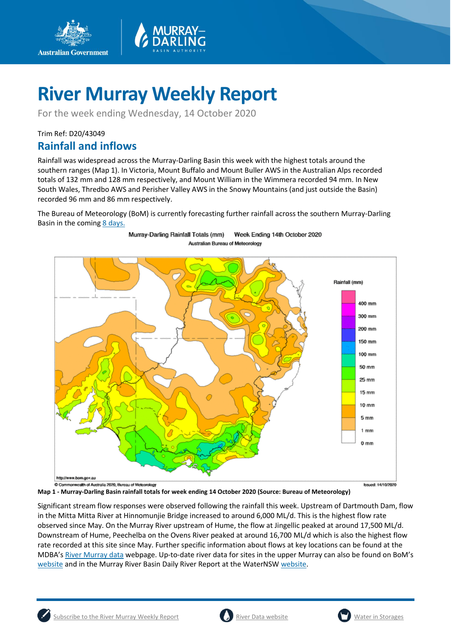

For the week ending Wednesday, 14 October 2020

Trim Ref: D20/43049

**Australian Government** 

## **Rainfall and inflows**

Rainfall was widespread across the Murray-Darling Basin this week with the highest totals around the southern ranges (Map 1). In Victoria, Mount Buffalo and Mount Buller AWS in the Australian Alps recorded totals of 132 mm and 128 mm respectively, and Mount William in the Wimmera recorded 94 mm. In New South Wales, Thredbo AWS and Perisher Valley AWS in the Snowy Mountains (and just outside the Basin) recorded 96 mm and 86 mm respectively.

The Bureau of Meteorology (BoM) is currently forecasting further rainfall across the southern Murray-Darling Basin in the comin[g 8 days.](http://www.bom.gov.au/jsp/watl/rainfall/pme.jsp)

Week Ending 14th October 2020

Murray-Darling Rainfall Totals (mm)



**Map 1 - Murray-Darling Basin rainfall totals for week ending 14 October 2020 (Source: Bureau of Meteorology)** 

Significant stream flow responses were observed following the rainfall this week. Upstream of Dartmouth Dam, flow in the Mitta Mitta River at Hinnomunjie Bridge increased to around 6,000 ML/d. This is the highest flow rate observed since May. On the Murray River upstream of Hume, the flow at Jingellic peaked at around 17,500 ML/d. Downstream of Hume, Peechelba on the Ovens River peaked at around 16,700 ML/d which is also the highest flow rate recorded at this site since May. Further specific information about flows at key locations can be found at the MDBA's [River Murray data](https://riverdata.mdba.gov.au/system-view) webpage. Up-to-date river data for sites in the upper Murray can also be found on BoM's [website](http://www.bom.gov.au/cgi-bin/wrap_fwo.pl?IDV60151.html) and in the Murray River Basin Daily River Report at the WaterNSW [website.](https://realtimedata.waternsw.com.au/water.stm)



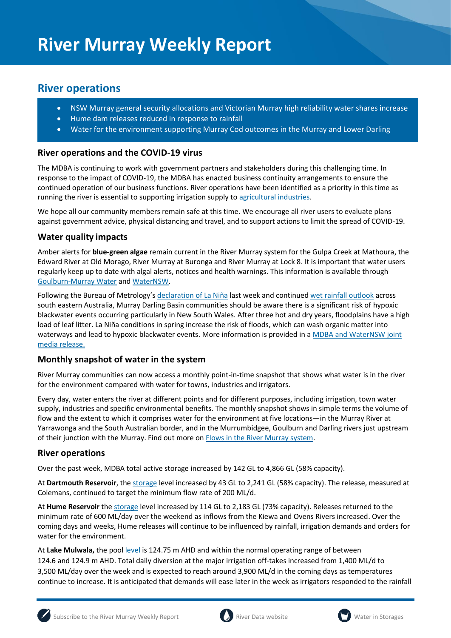## **River operations**

- NSW Murray general security allocations and Victorian Murray high reliability water shares increase
- Hume dam releases reduced in response to rainfall
- Water for the environment supporting Murray Cod outcomes in the Murray and Lower Darling

### **River operations and the COVID-19 virus**

The MDBA is continuing to work with government partners and stakeholders during this challenging time. In response to the impact of COVID-19, the MDBA has enacted business continuity arrangements to ensure the continued operation of our business functions. River operations have been identified as a priority in this time as running the river is essential to supporting irrigation supply t[o agricultural industries.](https://www.agriculture.gov.au/biosecurity/coronavirus/food-agriculture)

We hope all our community members remain safe at this time. We encourage all river users to evaluate plans against government advice, physical distancing and travel, and to support actions to limit the spread of COVID-19.

## **Water quality impacts**

Amber alerts for **blue-green algae** remain current in the River Murray system for the Gulpa Creek at Mathoura, the Edward River at Old Morago, River Murray at Buronga and River Murray at Lock 8. It is important that water users regularly keep up to date with algal alerts, notices and health warnings. This information is available through [Goulburn-Murray Water](https://www.g-mwater.com.au/news/bga) an[d WaterNSW.](https://www.waternsw.com.au/water-quality/algae)

Following the Bureau of Metrology's [declaration of La Niña](http://www.bom.gov.au/climate/enso/) last week and continued [wet rainfall outlook](http://www.bom.gov.au/climate/outlooks/#/rainfall/summary) across south eastern Australia, Murray Darling Basin communities should be aware there is a significant risk of hypoxic blackwater events occurring particularly in New South Wales. After three hot and dry years, floodplains have a high load of leaf litter. La Niña conditions in spring increase the risk of floods, which can wash organic matter into waterways and lead to hypoxic blackwater events. More information is provided in a MDBA and WaterNSW joint [media release.](https://www.mdba.gov.au/media/mr/joint-mdba-nsw-media-release-welcome-spring-rains-bring-heightened-risk-blackwater-lachlan)

#### **Monthly snapshot of water in the system**

River Murray communities can now access a monthly point-in-time snapshot that shows what water is in the river for the environment compared with water for towns, industries and irrigators.

Every day, water enters the river at different points and for different purposes, including irrigation, town water supply, industries and specific environmental benefits. The monthly snapshot shows in simple terms the volume of flow and the extent to which it comprises water for the environment at five locations—in the Murray River at Yarrawonga and the South Australian border, and in the Murrumbidgee, Goulburn and Darling rivers just upstream of their junction with the Murray. Find out more o[n Flows in the River Murray system.](https://www.mdba.gov.au/water-management/regular-reports-murray-data-storages/flows-river-murray-system)

#### **River operations**

Over the past week, MDBA total active storage increased by 142 GL to 4,866 GL (58% capacity).

At **Dartmouth Reservoir**, the [storage](https://riverdata.mdba.gov.au/dartmouth-dam) level increased by 43 GL to 2,241 GL (58% capacity). The release, measured at Colemans, continued to target the minimum flow rate of 200 ML/d.

At **Hume Reservoir** th[e storage](https://riverdata.mdba.gov.au/hume-dam) level increased by 114 GL to 2,183 GL (73% capacity). Releases returned to the minimum rate of 600 ML/day over the weekend as inflows from the Kiewa and Ovens Rivers increased. Over the coming days and weeks, Hume releases will continue to be influenced by rainfall, irrigation demands and orders for water for the environment.

At **Lake Mulwala,** the pool [level](https://riverdata.mdba.gov.au/yarrawonga-weir-upstream) is 124.75 m AHD and within the normal operating range of between 124.6 and 124.9 m AHD. Total daily diversion at the major irrigation off-takes increased from 1,400 ML/d to 3,500 ML/day over the week and is expected to reach around 3,900 ML/d in the coming days as temperatures continue to increase. It is anticipated that demands will ease later in the week as irrigators responded to the rainfall





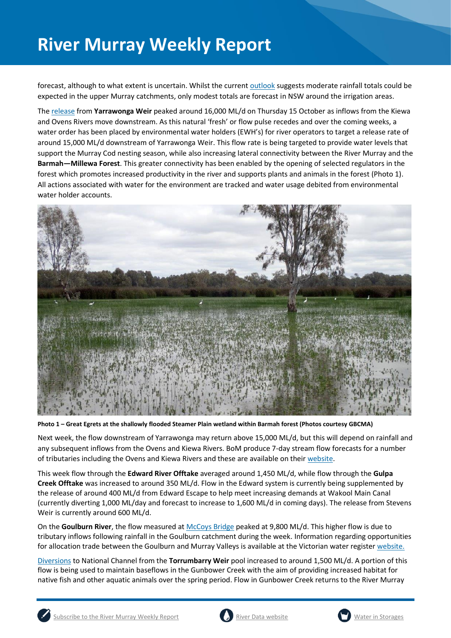forecast, although to what extent is uncertain. Whilst the current [outlook](http://www.bom.gov.au/jsp/watl/rainfall/pme.jsp) suggests moderate rainfall totals could be expected in the upper Murray catchments, only modest totals are forecast in NSW around the irrigation areas.

The [release](https://riverdata.mdba.gov.au/yarrawonga-weir-downstream) from **Yarrawonga Weir** peaked around 16,000 ML/d on Thursday 15 October as inflows from the Kiewa and Ovens Rivers move downstream. As this natural 'fresh' or flow pulse recedes and over the coming weeks, a water order has been placed by environmental water holders (EWH's) for river operators to target a release rate of around 15,000 ML/d downstream of Yarrawonga Weir. This flow rate is being targeted to provide water levels that support the Murray Cod nesting season, while also increasing lateral connectivity between the River Murray and the **Barmah—Millewa Forest**. This greater connectivity has been enabled by the opening of selected regulators in the forest which promotes increased productivity in the river and supports plants and animals in the forest (Photo 1). All actions associated with water for the environment are tracked and water usage debited from environmental water holder accounts.



**Photo 1 – Great Egrets at the shallowly flooded Steamer Plain wetland within Barmah forest (Photos courtesy GBCMA)**

Next week, the flow downstream of Yarrawonga may return above 15,000 ML/d, but this will depend on rainfall and any subsequent inflows from the Ovens and Kiewa Rivers. BoM produce 7-day stream flow forecasts for a number of tributaries including the Ovens and Kiewa Rivers and these are available on their [website.](http://www.bom.gov.au/water/7daystreamflow/)

This week flow through the **Edward River Offtake** averaged around 1,450 ML/d, while flow through the **Gulpa Creek Offtake** was increased to around 350 ML/d. Flow in the Edward system is currently being supplemented by the release of around 400 ML/d from Edward Escape to help meet increasing demands at Wakool Main Canal (currently diverting 1,000 ML/day and forecast to increase to 1,600 ML/d in coming days). The release from Stevens Weir is currently around 600 ML/d.

On the **Goulburn River**, the flow measured at [McCoys Bridge](https://riverdata.mdba.gov.au/mccoy-bridge) peaked at 9,800 ML/d. This higher flow is due to tributary inflows following rainfall in the Goulburn catchment during the week. Information regarding opportunities for allocation trade between the Goulburn and Murray Valleys is available at the Victorian water register [website.](http://waterregister.vic.gov.au/water-trading/allocation-trading#AllocationTradeOpportunities)

[Diversions](https://riverdata.mdba.gov.au/national-channel-ds-torrumbarry-headworks) to National Channel from the **Torrumbarry Weir** pool increased to around 1,500 ML/d. A portion of this flow is being used to maintain baseflows in the Gunbower Creek with the aim of providing increased habitat for native fish and other aquatic animals over the spring period. Flow in Gunbower Creek returns to the River Murray



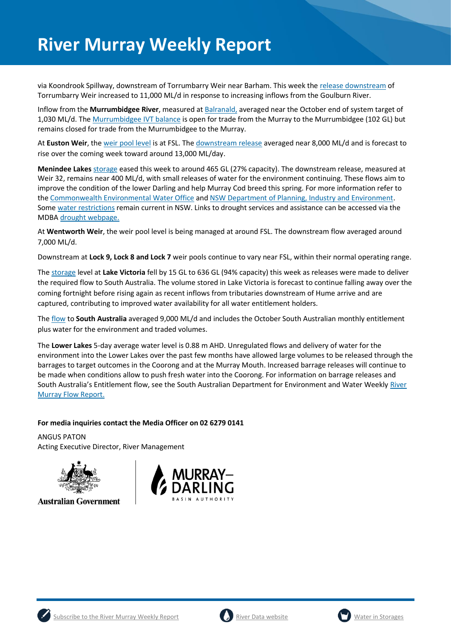via Koondrook Spillway, downstream of Torrumbarry Weir near Barham. This week the [release downstream](https://riverdata.mdba.gov.au/torrumbarry-weir-downstream) of Torrumbarry Weir increased to 11,000 ML/d in response to increasing inflows from the Goulburn River.

Inflow from the **Murrumbidgee River**, measured a[t Balranald,](https://riverdata.mdba.gov.au/balranald-weir-downstream) averaged near the October end of system target of 1,030 ML/d. The [Murrumbidgee IVT balance](https://www.waternsw.com.au/customer-service/ordering-trading-and-pricing/trading/murrumbidgee) is open for trade from the Murray to the Murrumbidgee (102 GL) but remains closed for trade from the Murrumbidgee to the Murray.

At **Euston Weir**, th[e weir pool level](https://riverdata.mdba.gov.au/euston-weir-upstream) is at FSL. Th[e downstream release](https://riverdata.mdba.gov.au/euston-weir-downstream) averaged near 8,000 ML/d and is forecast to rise over the coming week toward around 13,000 ML/day.

**Menindee Lakes** [storage](https://riverdata.mdba.gov.au/menindee-lakes-combined-storage) eased this week to around 465 GL (27% capacity). The downstream release, measured at Weir 32, remains near 400 ML/d, with small releases of water for the environment continuing. These flows aim to improve the condition of the lower Darling and help Murray Cod breed this spring. For more information refer to th[e Commonwealth Environmental Water Office](https://www.environment.gov.au/cewo/media-release/lower-darling-baaka-flows-boosted) and [NSW Department of Planning, Industry and Environment.](https://www.environment.nsw.gov.au/news/spring-flow-for-fish-in-the-lower-darling-baaka-river) Some [water restrictions](https://www.industry.nsw.gov.au/water/allocations-availability/temporary-water-restrictions) remain current in NSW. Links to drought services and assistance can be accessed via the MDB[A drought webpage.](https://www.mdba.gov.au/managing-water/drought-murray-darling-basin)

At **Wentworth Weir**, the weir pool level is being managed at around FSL. The downstream flow averaged around 7,000 ML/d.

Downstream at **Lock 9, Lock 8 and Lock 7** weir pools continue to vary near FSL, within their normal operating range.

The [storage](https://riverdata.mdba.gov.au/lake-victoria) level at **Lake Victoria** fell by 15 GL to 636 GL (94% capacity) this week as releases were made to deliver the required flow to South Australia. The volume stored in Lake Victoria is forecast to continue falling away over the coming fortnight before rising again as recent inflows from tributaries downstream of Hume arrive and are captured, contributing to improved water availability for all water entitlement holders.

The [flow](https://riverdata.mdba.gov.au/flow-south-australia-calculated) to **South Australia** averaged 9,000 ML/d and includes the October South Australian monthly entitlement plus water for the environment and traded volumes.

The **Lower Lakes** 5-day average water level is 0.88 m AHD. Unregulated flows and delivery of water for the environment into the Lower Lakes over the past few months have allowed large volumes to be released through the barrages to target outcomes in the Coorong and at the Murray Mouth. Increased barrage releases will continue to be made when conditions allow to push fresh water into the Coorong. For information on barrage releases and South Australia's Entitlement flow, see the South Australian Department for Environment and Water Weekly [River](https://www.environment.sa.gov.au/topics/river-murray/flow-reports)  [Murray Flow Report.](https://www.environment.sa.gov.au/topics/river-murray/flow-reports)

#### **For media inquiries contact the Media Officer on 02 6279 0141**

ANGUS PATON Acting Executive Director, River Management



**Australian Government** 







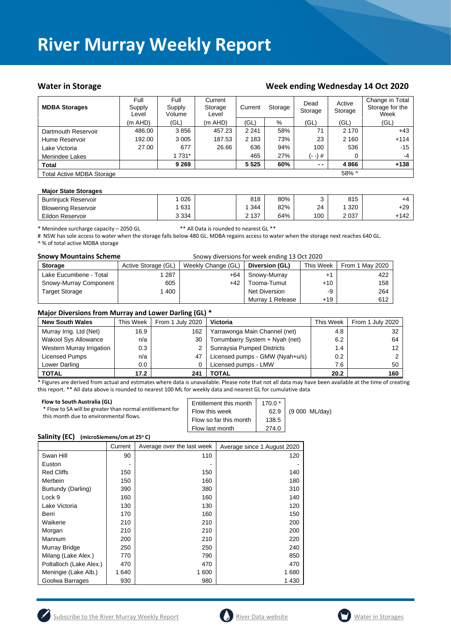#### Water in Storage Week ending Week ending Wednesday 14 Oct 2020

| <b>MDBA Storages</b>             | Full<br>Supply<br>Level | Full<br>Supply<br>Volume | Current<br>Storage<br>Level | Current<br>Storage |     | Dead<br>Storage | Active<br>Storage | Change in Total<br>Storage for the<br>Week |
|----------------------------------|-------------------------|--------------------------|-----------------------------|--------------------|-----|-----------------|-------------------|--------------------------------------------|
|                                  | (m AHD)                 | (GL)                     | (m AHD)                     | (GL)               | %   | (GL)            | (GL)              | (GL)                                       |
| Dartmouth Reservoir              | 486.00                  | 3856                     | 457.23                      | 2 2 4 1            | 58% | 71              | 2 1 7 0           | $+43$                                      |
| Hume Reservoir                   | 192.00                  | 3 0 0 5                  | 187.53                      | 2 1 8 3            | 73% | 23              | 2 1 6 0           | $+114$                                     |
| Lake Victoria                    | 27.00                   | 677                      | 26.66                       | 636                | 94% | 100             | 536               | -15                                        |
| Menindee Lakes                   |                         | 1 731*                   |                             | 465                | 27% | (- -) #         |                   | $-4$                                       |
| <b>Total</b>                     |                         | 9 2 6 9                  |                             | 5 5 2 5            | 60% | $ -$            | 4866              | $+138$                                     |
| <b>Total Active MDBA Storage</b> |                         |                          |                             |                    |     |                 | 58% ^             |                                            |

#### **Major State Storages**

| <b>Burriniuck Reservoir</b> | 026     | 818   | 80% |     | 815     | +4    |
|-----------------------------|---------|-------|-----|-----|---------|-------|
| <b>Blowering Reservoir</b>  | 631     | 344   | 82% | 24  | 320     | $+29$ |
| Eildon Reservoir            | 3 3 3 4 | 2 137 | 64% | 100 | 2 0 3 7 | -142  |

\* Menindee surcharge capacity – 2050 GL \*\* All Data is rounded to nearest GL \*\*

# NSW has sole access to water when the storage falls below 480 GL. MDBA regains access to water when the storage next reaches 640 GL. ^ % of total active MDBA storage

| <b>Snowy Mountains Scheme</b> |                     | Snowy diversions for week ending 13 Oct 2020 |                  |           |                 |
|-------------------------------|---------------------|----------------------------------------------|------------------|-----------|-----------------|
| <b>Storage</b>                | Active Storage (GL) | Weekly Change (GL)                           | Diversion (GL)   | This Week | From 1 May 2020 |
| Lake Eucumbene - Total        | 287                 | +64                                          | Snowy-Murray     |           | 422             |
| Snowy-Murray Component        | 605                 | $+42$                                        | Tooma-Tumut      | $+10$     | 158             |
| <b>Target Storage</b>         | 400                 |                                              | Net Diversion    | -9        | 264             |
|                               |                     |                                              | Murray 1 Release | $+19$     | 612             |

#### **Major Diversions from Murray and Lower Darling (GL) \***

| <b>New South Wales</b>      | This Week | From 1 July 2020 | Victoria                        | This Week | From 1 July 2020 |
|-----------------------------|-----------|------------------|---------------------------------|-----------|------------------|
| Murray Irrig. Ltd (Net)     | 16.9      | 162              | Yarrawonga Main Channel (net)   | 4.8       | 32               |
| <b>Wakool Sys Allowance</b> | n/a       | 30               | Torrumbarry System + Nyah (net) | 6.2       | 64               |
| Western Murray Irrigation   | 0.3       |                  | Sunraysia Pumped Districts      | 1.4       |                  |
| Licensed Pumps              | n/a       | 47               | Licensed pumps - GMW (Nyah+u/s) | 0.2       |                  |
| Lower Darling               | $0.0\,$   |                  | Licensed pumps - LMW            | 7.6       | 50               |
| <b>TOTAL</b>                | 17.2      | 241              | TOTAL                           | 20.2      | 160              |

\* Figures are derived from actual and estimates where data is unavailable. Please note that not all data may have been available at the time of creating this report. \*\* All data above is rounded to nearest 100 ML for weekly data and nearest GL for cumulative data

| Flow to South Australia (GL)<br>* Flow to SA will be greater than normal entitlement for<br>this month due to environmental flows. | Entitlement this month<br>Flow this week<br>Flow so far this month<br>Flow last month | $170.0*$<br>62.9<br>138.5<br>274.0 | (9 000 ML/day) |
|------------------------------------------------------------------------------------------------------------------------------------|---------------------------------------------------------------------------------------|------------------------------------|----------------|
|                                                                                                                                    |                                                                                       |                                    |                |

#### **Salinity (EC) (microSiemens/cm at 25<sup>o</sup> C)**

|                         | Current | Average over the last week | Average since 1 August 2020 |
|-------------------------|---------|----------------------------|-----------------------------|
| Swan Hill               | 90      | 110                        | 120                         |
| Euston                  |         |                            |                             |
| <b>Red Cliffs</b>       | 150     | 150                        | 140                         |
| Merbein                 | 150     | 160                        | 180                         |
| Burtundy (Darling)      | 390     | 380                        | 310                         |
| Lock 9                  | 160     | 160                        | 140                         |
| Lake Victoria           | 130     | 130                        | 120                         |
| Berri                   | 170     | 160                        | 150                         |
| Waikerie                | 210     | 210                        | 200                         |
| Morgan                  | 210     | 210                        | 200                         |
| Mannum                  | 200     | 210                        | 220                         |
| Murray Bridge           | 250     | 250                        | 240                         |
| Milang (Lake Alex.)     | 770     | 790                        | 850                         |
| Poltalloch (Lake Alex.) | 470     | 470                        | 470                         |
| Meningie (Lake Alb.)    | 1 640   | 1 600                      | 1680                        |
| Goolwa Barrages         | 930     | 980                        | 1430                        |





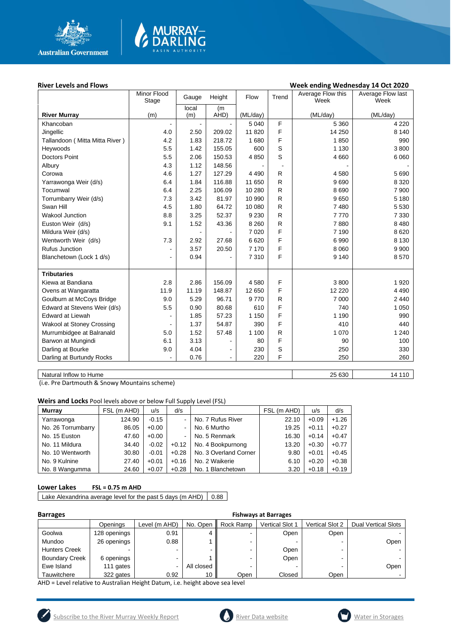

# **MURRAY-<br>DARLING**

#### River Levels and Flows **River Levels and Flows Week ending Wednesday 14 Oct 2020**

| local<br>(m)<br>(m)<br>(ML/day)<br>(ML/day)<br><b>River Murray</b><br>(m)<br>AHD)<br>(ML/day)<br>F<br>5 0 4 0<br>5 3 6 0<br>4 2 2 0<br>Khancoban<br>F<br>Jingellic<br>209.02<br>11 8 20<br>14 250<br>8 1 4 0<br>4.0<br>2.50<br>F<br>Tallandoon (Mitta Mitta River)<br>4.2<br>1.83<br>218.72<br>1680<br>1850<br>990<br>S<br>5.5<br>155.05<br>1 1 3 0<br>3800<br>Heywoods<br>1.42<br>600<br>$\mathbb S$<br>5.5<br><b>Doctors Point</b><br>2.06<br>150.53<br>4850<br>4 6 6 0<br>6 0 6 0<br>4.3<br>1.12<br>148.56<br>Albury<br>4.6<br>1.27<br>127.29<br>R<br>Corowa<br>4 4 9 0<br>4580<br>5 6 9 0<br>R<br>6.4<br>1.84<br>116.88<br>11 650<br>9690<br>8 3 2 0<br>Yarrawonga Weir (d/s)<br>${\sf R}$<br>2.25<br>10 280<br>8690<br>7 900<br>Tocumwal<br>6.4<br>106.09<br>7.3<br>3.42<br>81.97<br>10 990<br>$\mathsf{R}$<br>9650<br>5 1 8 0<br>Torrumbarry Weir (d/s)<br>R<br>Swan Hill<br>4.5<br>1.80<br>64.72<br>10 080<br>7480<br>5 5 3 0<br>${\sf R}$<br>8.8<br><b>Wakool Junction</b><br>3.25<br>52.37<br>9 2 3 0<br>7770<br>7 3 3 0<br>${\sf R}$<br>Euston Weir (d/s)<br>9.1<br>1.52<br>7880<br>8 4 8 0<br>43.36<br>8 2 6 0<br>F<br>Mildura Weir (d/s)<br>7 0 20<br>7 1 9 0<br>8620<br>F<br>7.3<br>Wentworth Weir (d/s)<br>2.92<br>27.68<br>6620<br>6990<br>8 1 3 0<br>F<br><b>Rufus Junction</b><br>8 0 6 0<br>9 9 0 0<br>3.57<br>20.50<br>7 170<br>$\overline{\phantom{0}}$<br>F<br>Blanchetown (Lock 1 d/s)<br>0.94<br>7310<br>9 1 4 0<br>8570<br>$\overline{\phantom{a}}$<br><b>Tributaries</b><br>F<br>2.8<br>156.09<br>3800<br>1920<br>Kiewa at Bandiana<br>2.86<br>4580<br>F<br>Ovens at Wangaratta<br>11.9<br>11.19<br>148.87<br>12 650<br>12 2 2 0<br>4 4 9 0<br>5.29<br>9770<br>R<br>Goulburn at McCoys Bridge<br>9.0<br>96.71<br>7 0 0 0<br>2 4 4 0<br>F<br>5.5<br>Edward at Stevens Weir (d/s)<br>0.90<br>80.68<br>610<br>740<br>1 0 5 0<br>F<br><b>Edward at Liewah</b><br>1.85<br>57.23<br>1 1 5 0<br>1 1 9 0<br>990<br>F<br>410<br><b>Wakool at Stoney Crossing</b><br>1.37<br>54.87<br>390<br>440<br>Murrumbidgee at Balranald<br>1.52<br>R<br>1 0 7 0<br>5.0<br>57.48<br>1 100<br>1 2 4 0<br>F<br>6.1<br>3.13<br>90<br>Barwon at Mungindi<br>80<br>100<br>٠<br>$\mathbf S$<br>Darling at Bourke<br>4.04<br>9.0<br>230<br>250<br>330<br>$\overline{a}$<br>F<br>Darling at Burtundy Rocks<br>0.76<br>220<br>250<br>260<br>$\blacksquare$ | Minor Flood<br>Stage | Gauge | Height | Flow | Trend | Average Flow this<br>Week | Average Flow last<br>Week |
|-------------------------------------------------------------------------------------------------------------------------------------------------------------------------------------------------------------------------------------------------------------------------------------------------------------------------------------------------------------------------------------------------------------------------------------------------------------------------------------------------------------------------------------------------------------------------------------------------------------------------------------------------------------------------------------------------------------------------------------------------------------------------------------------------------------------------------------------------------------------------------------------------------------------------------------------------------------------------------------------------------------------------------------------------------------------------------------------------------------------------------------------------------------------------------------------------------------------------------------------------------------------------------------------------------------------------------------------------------------------------------------------------------------------------------------------------------------------------------------------------------------------------------------------------------------------------------------------------------------------------------------------------------------------------------------------------------------------------------------------------------------------------------------------------------------------------------------------------------------------------------------------------------------------------------------------------------------------------------------------------------------------------------------------------------------------------------------------------------------------------------------------------------------------------------------------------------------------------------------------------------------------------------------------------------------------------------------------------------|----------------------|-------|--------|------|-------|---------------------------|---------------------------|
|                                                                                                                                                                                                                                                                                                                                                                                                                                                                                                                                                                                                                                                                                                                                                                                                                                                                                                                                                                                                                                                                                                                                                                                                                                                                                                                                                                                                                                                                                                                                                                                                                                                                                                                                                                                                                                                                                                                                                                                                                                                                                                                                                                                                                                                                                                                                                       |                      |       |        |      |       |                           |                           |
|                                                                                                                                                                                                                                                                                                                                                                                                                                                                                                                                                                                                                                                                                                                                                                                                                                                                                                                                                                                                                                                                                                                                                                                                                                                                                                                                                                                                                                                                                                                                                                                                                                                                                                                                                                                                                                                                                                                                                                                                                                                                                                                                                                                                                                                                                                                                                       |                      |       |        |      |       |                           |                           |
|                                                                                                                                                                                                                                                                                                                                                                                                                                                                                                                                                                                                                                                                                                                                                                                                                                                                                                                                                                                                                                                                                                                                                                                                                                                                                                                                                                                                                                                                                                                                                                                                                                                                                                                                                                                                                                                                                                                                                                                                                                                                                                                                                                                                                                                                                                                                                       |                      |       |        |      |       |                           |                           |
|                                                                                                                                                                                                                                                                                                                                                                                                                                                                                                                                                                                                                                                                                                                                                                                                                                                                                                                                                                                                                                                                                                                                                                                                                                                                                                                                                                                                                                                                                                                                                                                                                                                                                                                                                                                                                                                                                                                                                                                                                                                                                                                                                                                                                                                                                                                                                       |                      |       |        |      |       |                           |                           |
|                                                                                                                                                                                                                                                                                                                                                                                                                                                                                                                                                                                                                                                                                                                                                                                                                                                                                                                                                                                                                                                                                                                                                                                                                                                                                                                                                                                                                                                                                                                                                                                                                                                                                                                                                                                                                                                                                                                                                                                                                                                                                                                                                                                                                                                                                                                                                       |                      |       |        |      |       |                           |                           |
|                                                                                                                                                                                                                                                                                                                                                                                                                                                                                                                                                                                                                                                                                                                                                                                                                                                                                                                                                                                                                                                                                                                                                                                                                                                                                                                                                                                                                                                                                                                                                                                                                                                                                                                                                                                                                                                                                                                                                                                                                                                                                                                                                                                                                                                                                                                                                       |                      |       |        |      |       |                           |                           |
|                                                                                                                                                                                                                                                                                                                                                                                                                                                                                                                                                                                                                                                                                                                                                                                                                                                                                                                                                                                                                                                                                                                                                                                                                                                                                                                                                                                                                                                                                                                                                                                                                                                                                                                                                                                                                                                                                                                                                                                                                                                                                                                                                                                                                                                                                                                                                       |                      |       |        |      |       |                           |                           |
|                                                                                                                                                                                                                                                                                                                                                                                                                                                                                                                                                                                                                                                                                                                                                                                                                                                                                                                                                                                                                                                                                                                                                                                                                                                                                                                                                                                                                                                                                                                                                                                                                                                                                                                                                                                                                                                                                                                                                                                                                                                                                                                                                                                                                                                                                                                                                       |                      |       |        |      |       |                           |                           |
|                                                                                                                                                                                                                                                                                                                                                                                                                                                                                                                                                                                                                                                                                                                                                                                                                                                                                                                                                                                                                                                                                                                                                                                                                                                                                                                                                                                                                                                                                                                                                                                                                                                                                                                                                                                                                                                                                                                                                                                                                                                                                                                                                                                                                                                                                                                                                       |                      |       |        |      |       |                           |                           |
|                                                                                                                                                                                                                                                                                                                                                                                                                                                                                                                                                                                                                                                                                                                                                                                                                                                                                                                                                                                                                                                                                                                                                                                                                                                                                                                                                                                                                                                                                                                                                                                                                                                                                                                                                                                                                                                                                                                                                                                                                                                                                                                                                                                                                                                                                                                                                       |                      |       |        |      |       |                           |                           |
|                                                                                                                                                                                                                                                                                                                                                                                                                                                                                                                                                                                                                                                                                                                                                                                                                                                                                                                                                                                                                                                                                                                                                                                                                                                                                                                                                                                                                                                                                                                                                                                                                                                                                                                                                                                                                                                                                                                                                                                                                                                                                                                                                                                                                                                                                                                                                       |                      |       |        |      |       |                           |                           |
|                                                                                                                                                                                                                                                                                                                                                                                                                                                                                                                                                                                                                                                                                                                                                                                                                                                                                                                                                                                                                                                                                                                                                                                                                                                                                                                                                                                                                                                                                                                                                                                                                                                                                                                                                                                                                                                                                                                                                                                                                                                                                                                                                                                                                                                                                                                                                       |                      |       |        |      |       |                           |                           |
|                                                                                                                                                                                                                                                                                                                                                                                                                                                                                                                                                                                                                                                                                                                                                                                                                                                                                                                                                                                                                                                                                                                                                                                                                                                                                                                                                                                                                                                                                                                                                                                                                                                                                                                                                                                                                                                                                                                                                                                                                                                                                                                                                                                                                                                                                                                                                       |                      |       |        |      |       |                           |                           |
|                                                                                                                                                                                                                                                                                                                                                                                                                                                                                                                                                                                                                                                                                                                                                                                                                                                                                                                                                                                                                                                                                                                                                                                                                                                                                                                                                                                                                                                                                                                                                                                                                                                                                                                                                                                                                                                                                                                                                                                                                                                                                                                                                                                                                                                                                                                                                       |                      |       |        |      |       |                           |                           |
|                                                                                                                                                                                                                                                                                                                                                                                                                                                                                                                                                                                                                                                                                                                                                                                                                                                                                                                                                                                                                                                                                                                                                                                                                                                                                                                                                                                                                                                                                                                                                                                                                                                                                                                                                                                                                                                                                                                                                                                                                                                                                                                                                                                                                                                                                                                                                       |                      |       |        |      |       |                           |                           |
|                                                                                                                                                                                                                                                                                                                                                                                                                                                                                                                                                                                                                                                                                                                                                                                                                                                                                                                                                                                                                                                                                                                                                                                                                                                                                                                                                                                                                                                                                                                                                                                                                                                                                                                                                                                                                                                                                                                                                                                                                                                                                                                                                                                                                                                                                                                                                       |                      |       |        |      |       |                           |                           |
|                                                                                                                                                                                                                                                                                                                                                                                                                                                                                                                                                                                                                                                                                                                                                                                                                                                                                                                                                                                                                                                                                                                                                                                                                                                                                                                                                                                                                                                                                                                                                                                                                                                                                                                                                                                                                                                                                                                                                                                                                                                                                                                                                                                                                                                                                                                                                       |                      |       |        |      |       |                           |                           |
|                                                                                                                                                                                                                                                                                                                                                                                                                                                                                                                                                                                                                                                                                                                                                                                                                                                                                                                                                                                                                                                                                                                                                                                                                                                                                                                                                                                                                                                                                                                                                                                                                                                                                                                                                                                                                                                                                                                                                                                                                                                                                                                                                                                                                                                                                                                                                       |                      |       |        |      |       |                           |                           |
|                                                                                                                                                                                                                                                                                                                                                                                                                                                                                                                                                                                                                                                                                                                                                                                                                                                                                                                                                                                                                                                                                                                                                                                                                                                                                                                                                                                                                                                                                                                                                                                                                                                                                                                                                                                                                                                                                                                                                                                                                                                                                                                                                                                                                                                                                                                                                       |                      |       |        |      |       |                           |                           |
|                                                                                                                                                                                                                                                                                                                                                                                                                                                                                                                                                                                                                                                                                                                                                                                                                                                                                                                                                                                                                                                                                                                                                                                                                                                                                                                                                                                                                                                                                                                                                                                                                                                                                                                                                                                                                                                                                                                                                                                                                                                                                                                                                                                                                                                                                                                                                       |                      |       |        |      |       |                           |                           |
|                                                                                                                                                                                                                                                                                                                                                                                                                                                                                                                                                                                                                                                                                                                                                                                                                                                                                                                                                                                                                                                                                                                                                                                                                                                                                                                                                                                                                                                                                                                                                                                                                                                                                                                                                                                                                                                                                                                                                                                                                                                                                                                                                                                                                                                                                                                                                       |                      |       |        |      |       |                           |                           |
|                                                                                                                                                                                                                                                                                                                                                                                                                                                                                                                                                                                                                                                                                                                                                                                                                                                                                                                                                                                                                                                                                                                                                                                                                                                                                                                                                                                                                                                                                                                                                                                                                                                                                                                                                                                                                                                                                                                                                                                                                                                                                                                                                                                                                                                                                                                                                       |                      |       |        |      |       |                           |                           |
|                                                                                                                                                                                                                                                                                                                                                                                                                                                                                                                                                                                                                                                                                                                                                                                                                                                                                                                                                                                                                                                                                                                                                                                                                                                                                                                                                                                                                                                                                                                                                                                                                                                                                                                                                                                                                                                                                                                                                                                                                                                                                                                                                                                                                                                                                                                                                       |                      |       |        |      |       |                           |                           |
|                                                                                                                                                                                                                                                                                                                                                                                                                                                                                                                                                                                                                                                                                                                                                                                                                                                                                                                                                                                                                                                                                                                                                                                                                                                                                                                                                                                                                                                                                                                                                                                                                                                                                                                                                                                                                                                                                                                                                                                                                                                                                                                                                                                                                                                                                                                                                       |                      |       |        |      |       |                           |                           |
|                                                                                                                                                                                                                                                                                                                                                                                                                                                                                                                                                                                                                                                                                                                                                                                                                                                                                                                                                                                                                                                                                                                                                                                                                                                                                                                                                                                                                                                                                                                                                                                                                                                                                                                                                                                                                                                                                                                                                                                                                                                                                                                                                                                                                                                                                                                                                       |                      |       |        |      |       |                           |                           |
|                                                                                                                                                                                                                                                                                                                                                                                                                                                                                                                                                                                                                                                                                                                                                                                                                                                                                                                                                                                                                                                                                                                                                                                                                                                                                                                                                                                                                                                                                                                                                                                                                                                                                                                                                                                                                                                                                                                                                                                                                                                                                                                                                                                                                                                                                                                                                       |                      |       |        |      |       |                           |                           |
|                                                                                                                                                                                                                                                                                                                                                                                                                                                                                                                                                                                                                                                                                                                                                                                                                                                                                                                                                                                                                                                                                                                                                                                                                                                                                                                                                                                                                                                                                                                                                                                                                                                                                                                                                                                                                                                                                                                                                                                                                                                                                                                                                                                                                                                                                                                                                       |                      |       |        |      |       |                           |                           |
|                                                                                                                                                                                                                                                                                                                                                                                                                                                                                                                                                                                                                                                                                                                                                                                                                                                                                                                                                                                                                                                                                                                                                                                                                                                                                                                                                                                                                                                                                                                                                                                                                                                                                                                                                                                                                                                                                                                                                                                                                                                                                                                                                                                                                                                                                                                                                       |                      |       |        |      |       |                           |                           |
|                                                                                                                                                                                                                                                                                                                                                                                                                                                                                                                                                                                                                                                                                                                                                                                                                                                                                                                                                                                                                                                                                                                                                                                                                                                                                                                                                                                                                                                                                                                                                                                                                                                                                                                                                                                                                                                                                                                                                                                                                                                                                                                                                                                                                                                                                                                                                       |                      |       |        |      |       |                           |                           |
|                                                                                                                                                                                                                                                                                                                                                                                                                                                                                                                                                                                                                                                                                                                                                                                                                                                                                                                                                                                                                                                                                                                                                                                                                                                                                                                                                                                                                                                                                                                                                                                                                                                                                                                                                                                                                                                                                                                                                                                                                                                                                                                                                                                                                                                                                                                                                       |                      |       |        |      |       |                           |                           |
|                                                                                                                                                                                                                                                                                                                                                                                                                                                                                                                                                                                                                                                                                                                                                                                                                                                                                                                                                                                                                                                                                                                                                                                                                                                                                                                                                                                                                                                                                                                                                                                                                                                                                                                                                                                                                                                                                                                                                                                                                                                                                                                                                                                                                                                                                                                                                       |                      |       |        |      |       |                           |                           |

Natural Inflow to Hume 25 630 14 110

(i.e. Pre Dartmouth & Snowy Mountains scheme)

**Weirs and Locks** Pool levels above or below Full Supply Level (FSL)

| <b>Murrav</b>      | FSL (m AHD) | u/s     | d/s     |                       | FSL (m AHD) | u/s     | d/s     |
|--------------------|-------------|---------|---------|-----------------------|-------------|---------|---------|
| Yarrawonga         | 124.90      | $-0.15$ |         | No. 7 Rufus River     | 22.10       | $+0.09$ | $+1.26$ |
| No. 26 Torrumbarry | 86.05       | $+0.00$ |         | No. 6 Murtho          | 19.25       | $+0.11$ | $+0.27$ |
| No. 15 Euston      | 47.60       | $+0.00$ |         | No. 5 Renmark         | 16.30       | $+0.14$ | $+0.47$ |
| No. 11 Mildura     | 34.40       | $-0.02$ | $+0.12$ | No. 4 Bookpurnong     | 13.20       | $+0.30$ | $+0.77$ |
| No. 10 Wentworth   | 30.80       | $-0.01$ | $+0.28$ | No. 3 Overland Corner | 9.80        | $+0.01$ | $+0.45$ |
| No. 9 Kulnine      | 27.40       | $+0.01$ | $+0.16$ | No. 2 Waikerie        | 6.10        | $+0.20$ | $+0.38$ |
| No. 8 Wangumma     | 24.60       | $+0.07$ | $+0.28$ | No. 1 Blanchetown     | 3.20        | $+0.18$ | $+0.19$ |

#### **Lower Lakes FSL = 0.75 m AHD**

Lake Alexandrina average level for the past 5 days (m AHD)  $\vert$  0.88

| <b>Barrages</b>       |              | <b>Fishways at Barrages</b> |            |           |                 |                        |                            |  |  |
|-----------------------|--------------|-----------------------------|------------|-----------|-----------------|------------------------|----------------------------|--|--|
|                       | Openings     | Level (m AHD)               | No. Open   | Rock Ramp | Vertical Slot 1 | <b>Vertical Slot 2</b> | <b>Dual Vertical Slots</b> |  |  |
| Goolwa                | 128 openings | 0.91                        |            |           | Open            | Open                   |                            |  |  |
| Mundoo                | 26 openings  | 0.88                        |            |           |                 |                        | Open                       |  |  |
| <b>Hunters Creek</b>  |              | ۰                           |            |           | Open            |                        |                            |  |  |
| <b>Boundary Creek</b> | 6 openings   | -                           |            |           | Open            |                        |                            |  |  |
| Ewe Island            | 111 gates    | ۰                           | All closed |           |                 |                        | Open                       |  |  |
| Tauwitchere           | 322 gates    | 0.92                        | 10         | Open      | Closed          | Open                   |                            |  |  |

AHD = Level relative to Australian Height Datum, i.e. height above sea level